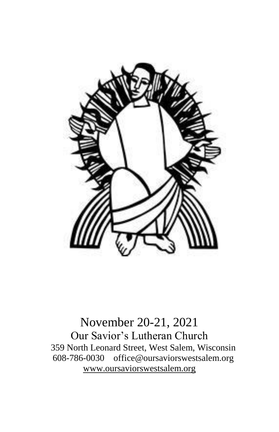

November 20-21, 2021 Our Savior's Lutheran Church 359 North Leonard Street, West Salem, Wisconsin 608-786-0030 office@oursaviorswestsalem.org [www.oursaviorswestsalem.org](http://www.oursaviorswestsalem.org/)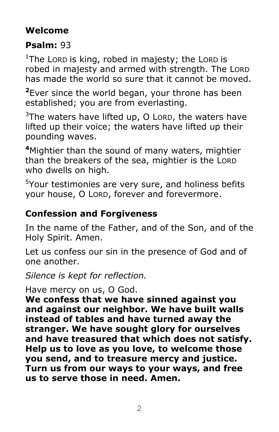# **Welcome**

# **Psalm:** 93

<sup>1</sup>The Lorp is king, robed in majesty; the Lorp is robed in majesty and armed with strength. The LORD has made the world so sure that it cannot be moved.

**<sup>2</sup>**Ever since the world began, your throne has been established; you are from everlasting.

 $3$ The waters have lifted up, O LORD, the waters have lifted up their voice; the waters have lifted up their pounding waves.

**<sup>4</sup>**Mightier than the sound of many waters, mightier than the breakers of the sea, mightier is the LORD who dwells on high.

<sup>5</sup>Your testimonies are very sure, and holiness befits your house, O LORD, forever and forevermore.

# **Confession and Forgiveness**

In the name of the Father, and of the Son, and of the Holy Spirit. Amen.

Let us confess our sin in the presence of God and of one another.

*Silence is kept for reflection.*

### Have mercy on us, O God.

**We confess that we have sinned against you and against our neighbor. We have built walls instead of tables and have turned away the stranger. We have sought glory for ourselves and have treasured that which does not satisfy. Help us to love as you love, to welcome those you send, and to treasure mercy and justice. Turn us from our ways to your ways, and free us to serve those in need. Amen.**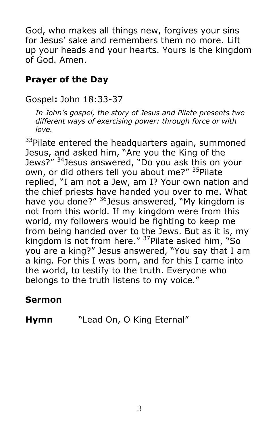God, who makes all things new, forgives your sins for Jesus' sake and remembers them no more. Lift up your heads and your hearts. Yours is the kingdom of God. Amen.

## **Prayer of the Day**

Gospel**:** John 18:33-37

*In John's gospel, the story of Jesus and Pilate presents two different ways of exercising power: through force or with love.*

<sup>33</sup>Pilate entered the headquarters again, summoned Jesus, and asked him, "Are you the King of the Jews?" <sup>34</sup>Jesus answered, "Do you ask this on your own, or did others tell you about me?" <sup>35</sup>Pilate replied, "I am not a Jew, am I? Your own nation and the chief priests have handed you over to me. What have you done?" <sup>36</sup>Jesus answered, "My kingdom is not from this world. If my kingdom were from this world, my followers would be fighting to keep me from being handed over to the Jews. But as it is, my kingdom is not from here." <sup>37</sup>Pilate asked him, "So you are a king?" Jesus answered, "You say that I am a king. For this I was born, and for this I came into the world, to testify to the truth. Everyone who belongs to the truth listens to my voice."

### **Sermon**

**Hymn** "Lead On, O King Eternal"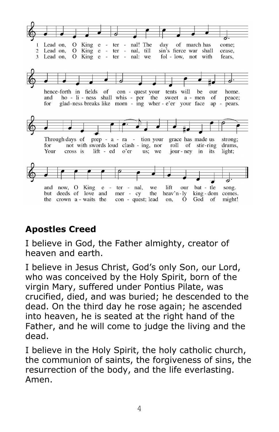

# **Apostles Creed**

I believe in God, the Father almighty, creator of heaven and earth.

I believe in Jesus Christ, God's only Son, our Lord, who was conceived by the Holy Spirit, born of the virgin Mary, suffered under Pontius Pilate, was crucified, died, and was buried; he descended to the dead. On the third day he rose again; he ascended into heaven, he is seated at the right hand of the Father, and he will come to judge the living and the dead.

I believe in the Holy Spirit, the holy catholic church, the communion of saints, the forgiveness of sins, the resurrection of the body, and the life everlasting. Amen.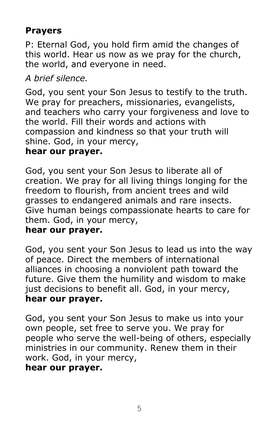## **Prayers**

P: Eternal God, you hold firm amid the changes of this world. Hear us now as we pray for the church, the world, and everyone in need.

### *A brief silence.*

God, you sent your Son Jesus to testify to the truth. We pray for preachers, missionaries, evangelists, and teachers who carry your forgiveness and love to the world. Fill their words and actions with compassion and kindness so that your truth will shine. God, in your mercy,

### **hear our prayer.**

God, you sent your Son Jesus to liberate all of creation. We pray for all living things longing for the freedom to flourish, from ancient trees and wild grasses to endangered animals and rare insects. Give human beings compassionate hearts to care for them. God, in your mercy,

### **hear our prayer.**

God, you sent your Son Jesus to lead us into the way of peace. Direct the members of international alliances in choosing a nonviolent path toward the future. Give them the humility and wisdom to make just decisions to benefit all. God, in your mercy, **hear our prayer.**

God, you sent your Son Jesus to make us into your own people, set free to serve you. We pray for people who serve the well-being of others, especially ministries in our community. Renew them in their work. God, in your mercy,

#### **hear our prayer.**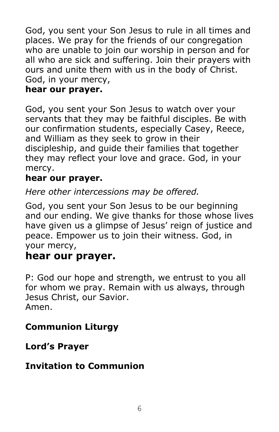God, you sent your Son Jesus to rule in all times and places. We pray for the friends of our congregation who are unable to join our worship in person and for all who are sick and suffering. Join their prayers with ours and unite them with us in the body of Christ. God, in your mercy,

## **hear our prayer.**

God, you sent your Son Jesus to watch over your servants that they may be faithful disciples. Be with our confirmation students, especially Casey, Reece, and William as they seek to grow in their discipleship, and guide their families that together they may reflect your love and grace. God, in your mercy.

## **hear our prayer.**

*Here other intercessions may be offered.*

God, you sent your Son Jesus to be our beginning and our ending. We give thanks for those whose lives have given us a glimpse of Jesus' reign of justice and peace. Empower us to join their witness. God, in your mercy,

## **hear our prayer.**

P: God our hope and strength, we entrust to you all for whom we pray. Remain with us always, through Jesus Christ, our Savior. Amen.

## **Communion Liturgy**

### **Lord's Prayer**

## **Invitation to Communion**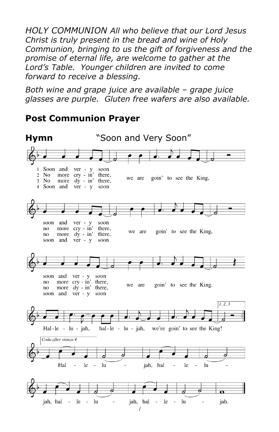*HOLY COMMUNION All who believe that our Lord Jesus Christ is truly present in the bread and wine of Holy Communion, bringing to us the gift of forgiveness and the promise of eternal life, are welcome to gather at the Lord's Table. Younger children are invited to come forward to receive a blessing.* 

*Both wine and grape juice are available – grape juice glasses are purple. Gluten free wafers are also available.* 

### **Post Communion Prayer**